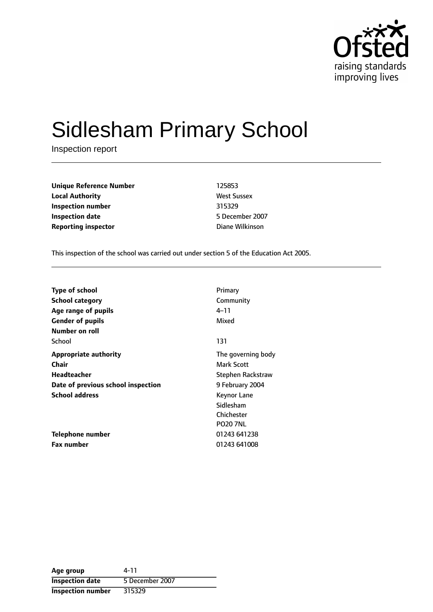

# Sidlesham Primary School

Inspection report

| <b>Unique Reference Number</b> | 125853             |
|--------------------------------|--------------------|
| <b>Local Authority</b>         | <b>West Sussex</b> |
| Inspection number              | 315329             |
| <b>Inspection date</b>         | 5 December 200     |
| <b>Reporting inspector</b>     | Diane Wilkinson    |

**West Sussex Inspection number** 315329 **Inspection date** 5 December 2007

This inspection of the school was carried out under section 5 of the Education Act 2005.

| <b>Type of school</b>              | Primary                  |
|------------------------------------|--------------------------|
| <b>School category</b>             | Community                |
| Age range of pupils                | 4–11                     |
| <b>Gender of pupils</b>            | Mixed                    |
| Number on roll                     |                          |
| School                             | 131                      |
| <b>Appropriate authority</b>       | The governing body       |
| <b>Chair</b>                       | Mark Scott               |
| Headteacher                        | <b>Stephen Rackstraw</b> |
| Date of previous school inspection | 9 February 2004          |
| <b>School address</b>              | Keynor Lane              |
|                                    | Sidlesham                |
|                                    | Chichester               |
|                                    | <b>PO20 7NL</b>          |
| Telephone number                   | 01243 641238             |
| <b>Fax number</b>                  | 01243 641008             |

| Age group                | 4-11            |
|--------------------------|-----------------|
| <b>Inspection date</b>   | 5 December 2007 |
| <b>Inspection number</b> | 315329          |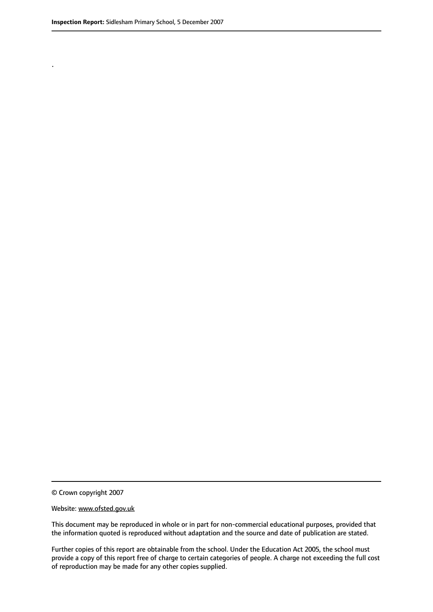.

© Crown copyright 2007

#### Website: www.ofsted.gov.uk

This document may be reproduced in whole or in part for non-commercial educational purposes, provided that the information quoted is reproduced without adaptation and the source and date of publication are stated.

Further copies of this report are obtainable from the school. Under the Education Act 2005, the school must provide a copy of this report free of charge to certain categories of people. A charge not exceeding the full cost of reproduction may be made for any other copies supplied.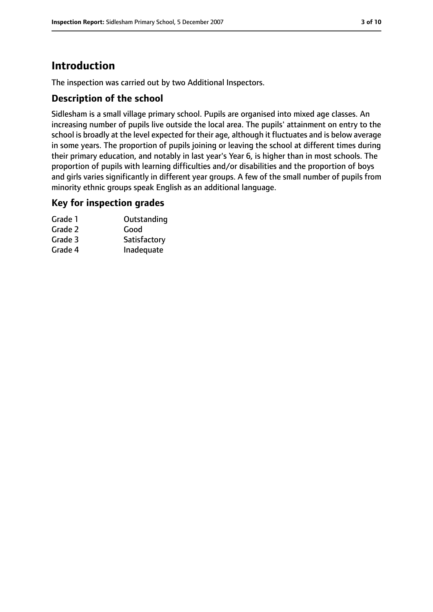# **Introduction**

The inspection was carried out by two Additional Inspectors.

#### **Description of the school**

Sidlesham is a small village primary school. Pupils are organised into mixed age classes. An increasing number of pupils live outside the local area. The pupils' attainment on entry to the school is broadly at the level expected for their age, although it fluctuates and is below average in some years. The proportion of pupils joining or leaving the school at different times during their primary education, and notably in last year's Year 6, is higher than in most schools. The proportion of pupils with learning difficulties and/or disabilities and the proportion of boys and girls varies significantly in different year groups. A few of the small number of pupils from minority ethnic groups speak English as an additional language.

#### **Key for inspection grades**

| Grade 1 | Outstanding  |
|---------|--------------|
| Grade 2 | Good         |
| Grade 3 | Satisfactory |
| Grade 4 | Inadequate   |
|         |              |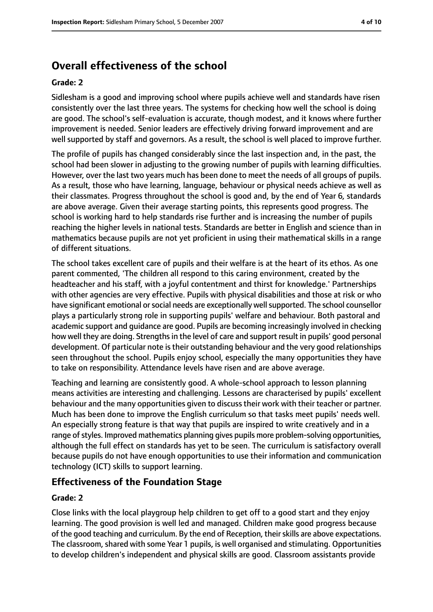# **Overall effectiveness of the school**

#### **Grade: 2**

Sidlesham is a good and improving school where pupils achieve well and standards have risen consistently over the last three years. The systems for checking how well the school is doing are good. The school's self-evaluation is accurate, though modest, and it knows where further improvement is needed. Senior leaders are effectively driving forward improvement and are well supported by staff and governors. As a result, the school is well placed to improve further.

The profile of pupils has changed considerably since the last inspection and, in the past, the school had been slower in adjusting to the growing number of pupils with learning difficulties. However, over the last two years much has been done to meet the needs of all groups of pupils. As a result, those who have learning, language, behaviour or physical needs achieve as well as their classmates. Progress throughout the school is good and, by the end of Year 6, standards are above average. Given their average starting points, this represents good progress. The school is working hard to help standards rise further and is increasing the number of pupils reaching the higher levels in national tests. Standards are better in English and science than in mathematics because pupils are not yet proficient in using their mathematical skills in a range of different situations.

The school takes excellent care of pupils and their welfare is at the heart of its ethos. As one parent commented, 'The children all respond to this caring environment, created by the headteacher and his staff, with a joyful contentment and thirst for knowledge.' Partnerships with other agencies are very effective. Pupils with physical disabilities and those at risk or who have significant emotional or social needs are exceptionally well supported. The school counsellor plays a particularly strong role in supporting pupils' welfare and behaviour. Both pastoral and academic support and guidance are good. Pupils are becoming increasingly involved in checking how well they are doing. Strengths in the level of care and support result in pupils' good personal development. Of particular note is their outstanding behaviour and the very good relationships seen throughout the school. Pupils enjoy school, especially the many opportunities they have to take on responsibility. Attendance levels have risen and are above average.

Teaching and learning are consistently good. A whole-school approach to lesson planning means activities are interesting and challenging. Lessons are characterised by pupils' excellent behaviour and the many opportunities given to discuss their work with their teacher or partner. Much has been done to improve the English curriculum so that tasks meet pupils' needs well. An especially strong feature is that way that pupils are inspired to write creatively and in a range of styles. Improved mathematics planning gives pupils more problem-solving opportunities, although the full effect on standards has yet to be seen. The curriculum is satisfactory overall because pupils do not have enough opportunities to use their information and communication technology (ICT) skills to support learning.

#### **Effectiveness of the Foundation Stage**

#### **Grade: 2**

Close links with the local playgroup help children to get off to a good start and they enjoy learning. The good provision is well led and managed. Children make good progress because of the good teaching and curriculum. By the end of Reception, their skills are above expectations. The classroom, shared with some Year 1 pupils, is well organised and stimulating. Opportunities to develop children's independent and physical skills are good. Classroom assistants provide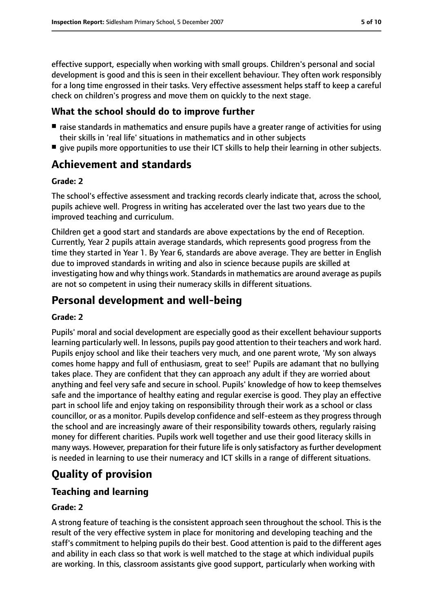effective support, especially when working with small groups. Children's personal and social development is good and this is seen in their excellent behaviour. They often work responsibly for a long time engrossed in their tasks. Very effective assessment helps staff to keep a careful check on children's progress and move them on quickly to the next stage.

#### **What the school should do to improve further**

- raise standards in mathematics and ensure pupils have a greater range of activities for using their skills in 'real life' situations in mathematics and in other subjects
- give pupils more opportunities to use their ICT skills to help their learning in other subjects.

# **Achievement and standards**

#### **Grade: 2**

The school's effective assessment and tracking records clearly indicate that, across the school, pupils achieve well. Progress in writing has accelerated over the last two years due to the improved teaching and curriculum.

Children get a good start and standards are above expectations by the end of Reception. Currently, Year 2 pupils attain average standards, which represents good progress from the time they started in Year 1. By Year 6, standards are above average. They are better in English due to improved standards in writing and also in science because pupils are skilled at investigating how and why things work. Standards in mathematics are around average as pupils are not so competent in using their numeracy skills in different situations.

# **Personal development and well-being**

#### **Grade: 2**

Pupils' moral and social development are especially good as their excellent behaviour supports learning particularly well. In lessons, pupils pay good attention to their teachers and work hard. Pupils enjoy school and like their teachers very much, and one parent wrote, 'My son always comes home happy and full of enthusiasm, great to see!' Pupils are adamant that no bullying takes place. They are confident that they can approach any adult if they are worried about anything and feel very safe and secure in school. Pupils' knowledge of how to keep themselves safe and the importance of healthy eating and regular exercise is good. They play an effective part in school life and enjoy taking on responsibility through their work as a school or class councillor, or as a monitor. Pupils develop confidence and self-esteem as they progress through the school and are increasingly aware of their responsibility towards others, regularly raising money for different charities. Pupils work well together and use their good literacy skills in many ways. However, preparation for their future life is only satisfactory as further development is needed in learning to use their numeracy and ICT skills in a range of different situations.

# **Quality of provision**

## **Teaching and learning**

#### **Grade: 2**

A strong feature of teaching is the consistent approach seen throughout the school. This is the result of the very effective system in place for monitoring and developing teaching and the staff's commitment to helping pupils do their best. Good attention is paid to the different ages and ability in each class so that work is well matched to the stage at which individual pupils are working. In this, classroom assistants give good support, particularly when working with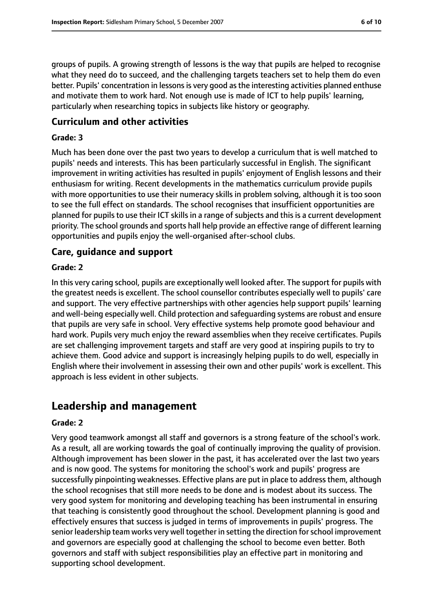groups of pupils. A growing strength of lessons is the way that pupils are helped to recognise what they need do to succeed, and the challenging targets teachers set to help them do even better. Pupils' concentration in lessons is very good as the interesting activities planned enthuse and motivate them to work hard. Not enough use is made of ICT to help pupils' learning, particularly when researching topics in subjects like history or geography.

#### **Curriculum and other activities**

#### **Grade: 3**

Much has been done over the past two years to develop a curriculum that is well matched to pupils' needs and interests. This has been particularly successful in English. The significant improvement in writing activities has resulted in pupils' enjoyment of English lessons and their enthusiasm for writing. Recent developments in the mathematics curriculum provide pupils with more opportunities to use their numeracy skills in problem solving, although it is too soon to see the full effect on standards. The school recognises that insufficient opportunities are planned for pupils to use their ICT skills in a range of subjects and this is a current development priority. The school grounds and sports hall help provide an effective range of different learning opportunities and pupils enjoy the well-organised after-school clubs.

#### **Care, guidance and support**

#### **Grade: 2**

In this very caring school, pupils are exceptionally well looked after. The support for pupils with the greatest needs is excellent. The school counsellor contributes especially well to pupils' care and support. The very effective partnerships with other agencies help support pupils' learning and well-being especially well. Child protection and safeguarding systems are robust and ensure that pupils are very safe in school. Very effective systems help promote good behaviour and hard work. Pupils very much enjoy the reward assemblies when they receive certificates. Pupils are set challenging improvement targets and staff are very good at inspiring pupils to try to achieve them. Good advice and support is increasingly helping pupils to do well, especially in English where their involvement in assessing their own and other pupils' work is excellent. This approach is less evident in other subjects.

## **Leadership and management**

#### **Grade: 2**

Very good teamwork amongst all staff and governors is a strong feature of the school's work. As a result, all are working towards the goal of continually improving the quality of provision. Although improvement has been slower in the past, it has accelerated over the last two years and is now good. The systems for monitoring the school's work and pupils' progress are successfully pinpointing weaknesses. Effective plans are put in place to address them, although the school recognises that still more needs to be done and is modest about its success. The very good system for monitoring and developing teaching has been instrumental in ensuring that teaching is consistently good throughout the school. Development planning is good and effectively ensures that success is judged in terms of improvements in pupils' progress. The senior leadership team works very well together in setting the direction for school improvement and governors are especially good at challenging the school to become even better. Both governors and staff with subject responsibilities play an effective part in monitoring and supporting school development.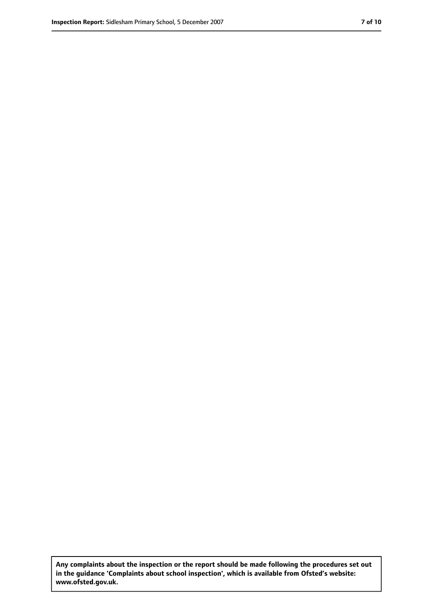**Any complaints about the inspection or the report should be made following the procedures set out in the guidance 'Complaints about school inspection', which is available from Ofsted's website: www.ofsted.gov.uk.**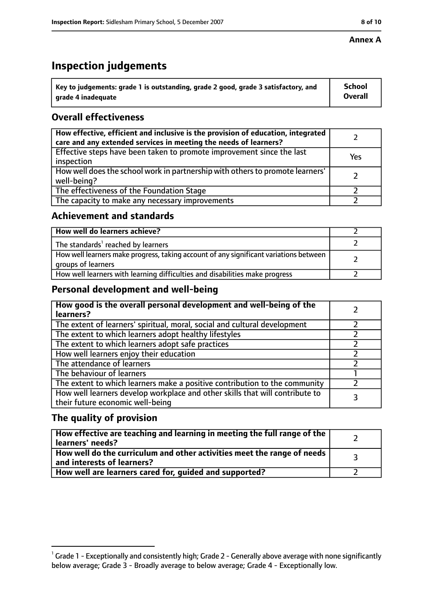#### **Annex A**

# **Inspection judgements**

| $^{\backprime}$ Key to judgements: grade 1 is outstanding, grade 2 good, grade 3 satisfactory, and | <b>School</b>  |
|----------------------------------------------------------------------------------------------------|----------------|
| arade 4 inadequate                                                                                 | <b>Overall</b> |

## **Overall effectiveness**

| How effective, efficient and inclusive is the provision of education, integrated<br>care and any extended services in meeting the needs of learners? |     |
|------------------------------------------------------------------------------------------------------------------------------------------------------|-----|
| Effective steps have been taken to promote improvement since the last<br>inspection                                                                  | Yes |
| How well does the school work in partnership with others to promote learners'<br>well-being?                                                         |     |
| The effectiveness of the Foundation Stage                                                                                                            |     |
| The capacity to make any necessary improvements                                                                                                      |     |

#### **Achievement and standards**

| How well do learners achieve?                                                                               |  |
|-------------------------------------------------------------------------------------------------------------|--|
| The standards <sup>1</sup> reached by learners                                                              |  |
| How well learners make progress, taking account of any significant variations between<br>groups of learners |  |
| How well learners with learning difficulties and disabilities make progress                                 |  |

## **Personal development and well-being**

| How good is the overall personal development and well-being of the<br>learners?                                  |  |
|------------------------------------------------------------------------------------------------------------------|--|
| The extent of learners' spiritual, moral, social and cultural development                                        |  |
| The extent to which learners adopt healthy lifestyles                                                            |  |
| The extent to which learners adopt safe practices                                                                |  |
| How well learners enjoy their education                                                                          |  |
| The attendance of learners                                                                                       |  |
| The behaviour of learners                                                                                        |  |
| The extent to which learners make a positive contribution to the community                                       |  |
| How well learners develop workplace and other skills that will contribute to<br>their future economic well-being |  |

## **The quality of provision**

| How effective are teaching and learning in meeting the full range of the<br>learners' needs?          |  |
|-------------------------------------------------------------------------------------------------------|--|
| How well do the curriculum and other activities meet the range of needs<br>and interests of learners? |  |
| How well are learners cared for, guided and supported?                                                |  |

 $^1$  Grade 1 - Exceptionally and consistently high; Grade 2 - Generally above average with none significantly below average; Grade 3 - Broadly average to below average; Grade 4 - Exceptionally low.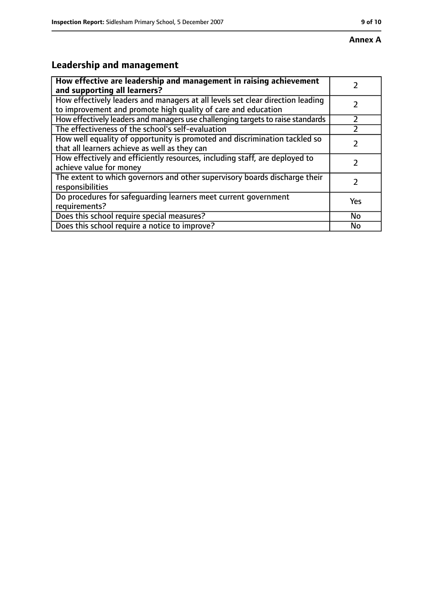# **Leadership and management**

| How effective are leadership and management in raising achievement<br>and supporting all learners?                                              |           |
|-------------------------------------------------------------------------------------------------------------------------------------------------|-----------|
| How effectively leaders and managers at all levels set clear direction leading<br>to improvement and promote high quality of care and education |           |
| How effectively leaders and managers use challenging targets to raise standards                                                                 |           |
| The effectiveness of the school's self-evaluation                                                                                               |           |
| How well equality of opportunity is promoted and discrimination tackled so<br>that all learners achieve as well as they can                     |           |
| How effectively and efficiently resources, including staff, are deployed to<br>achieve value for money                                          |           |
| The extent to which governors and other supervisory boards discharge their<br>responsibilities                                                  |           |
| Do procedures for safequarding learners meet current government<br>requirements?                                                                | Yes       |
| Does this school require special measures?                                                                                                      | <b>No</b> |
| Does this school require a notice to improve?                                                                                                   | No        |